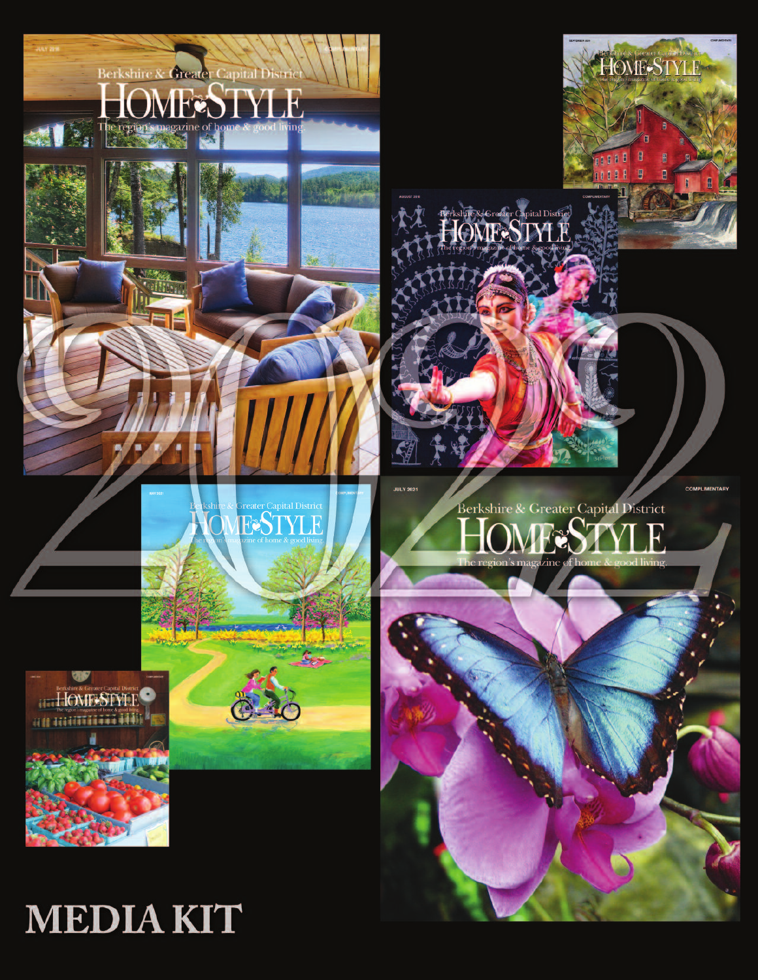

# **MEDIAKIT**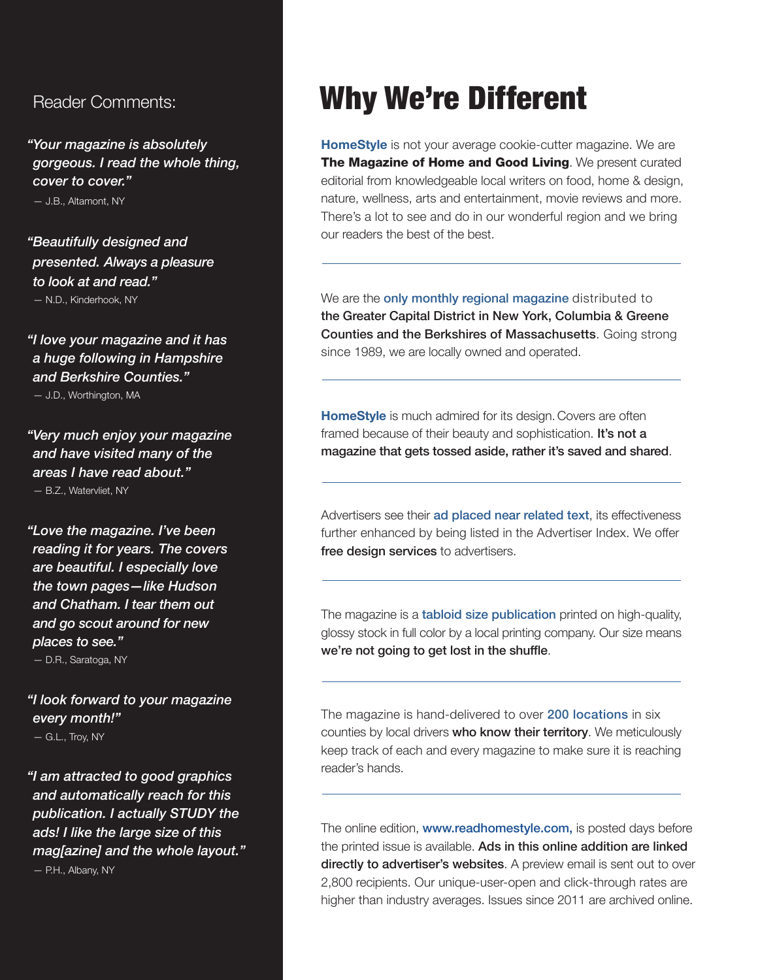*"Your magazine is absolutely gorgeous. I read the whole thing, cover to cover."*

— J.B., Altamont, NY

*"Beautifully designed and presented. Always a pleasure to look at and read."* — N.D., Kinderhook, NY

*"I love your magazine and it has a huge following in Hampshire and Berkshire Counties."*

— J.D., Worthington, MA

*"Very much enjoy your magazine and have visited many of the areas I have read about."* — B.Z., Watervliet, NY

*"Love the magazine. I've been reading it for years. The covers are beautiful. I especially love the town pages—like Hudson and Chatham. I tear them out and go scout around for new places to see."*

— D.R., Saratoga, NY

*"I look forward to your magazine every month!"* — G.L., Troy, NY

*"I am attracted to good graphics and automatically reach for this publication. I actually STUDY the ads! I like the large size of this mag[azine] and the whole layout."* — P.H., Albany, NY

## Reader Comments: Why We're Different

**HomeStyle** is not your average cookie-cutter magazine. We are **The Magazine of Home and Good Living**. We present curated editorial from knowledgeable local writers on food, home & design, nature, wellness, arts and entertainment, movie reviews and more. There's a lot to see and do in our wonderful region and we bring our readers the best of the best.

We are the only monthly regional magazine distributed to the Greater Capital District in New York, Columbia & Greene Counties and the Berkshires of Massachusetts. Going strong since 1989, we are locally owned and operated.

**HomeStyle** is much admired for its design. Covers are often framed because of their beauty and sophistication. It's not a magazine that gets tossed aside, rather it's saved and shared.

Advertisers see their ad placed near related text, its effectiveness further enhanced by being listed in the Advertiser Index. We offer free design services to advertisers.

The magazine is a **tabloid size publication** printed on high-quality, glossy stock in full color by a local printing company. Our size means we're not going to get lost in the shuffle.

The magazine is hand-delivered to over 200 locations in six counties by local drivers who know their territory. We meticulously keep track of each and every magazine to make sure it is reaching reader's hands.

The online edition, www.readhomestyle.com, is posted days before the printed issue is available. Ads in this online addition are linked directly to advertiser's websites. A preview email is sent out to over 2,800 recipients. Our unique-user-open and click-through rates are higher than industry averages. Issues since 2011 are archived online.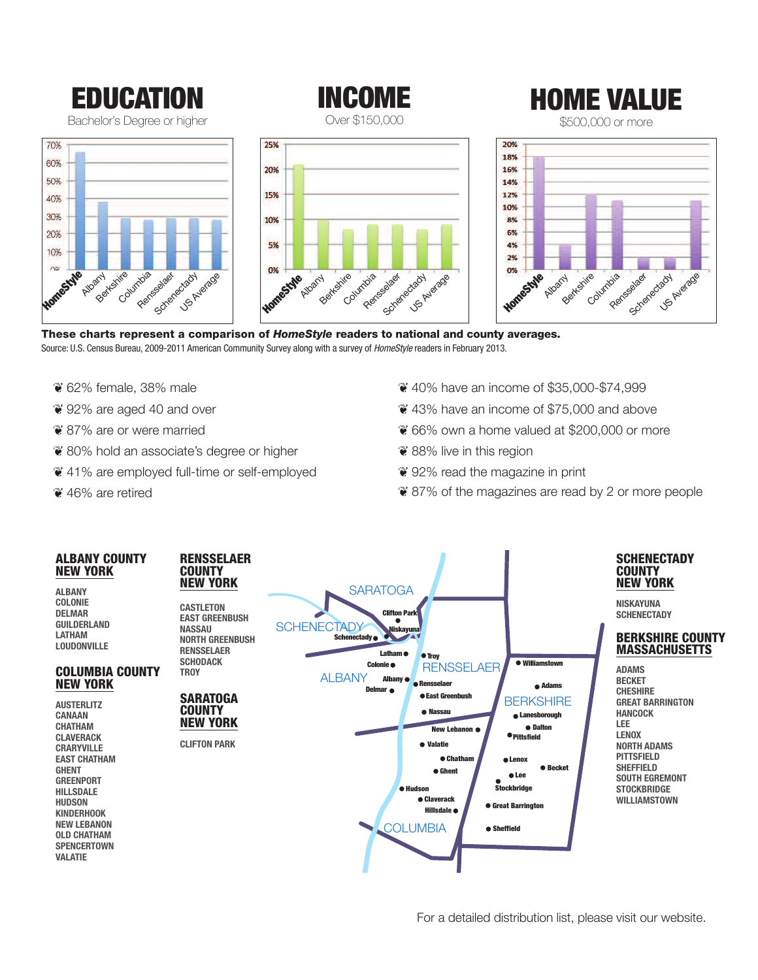

**INCOME** Over \$150,000



\$500,000 or more







**These charts represent a comparison of** *HomeStyle* **readers to national and county averages.** Source: U.S. Census Bureau, 2009-2011 American Community Survey along with a survey of *HomeStyle* readers in February 2013.

- ❦ 62% female, 38% male
- ❦ 92% are aged 40 and over
- ❦ 87% are or were married
- ❦ 80% hold an associate's degree or higher
- ❦ 41% are employed full-time or self-employed
- ❦ 46% are retired
- ❦ 40% have an income of \$35,000-\$74,999
- ❦ 43% have an income of \$75,000 and above
- ❦ 66% own a home valued at \$200,000 or more
- ❦ 88% live in this region
- ❦ 92% read the magazine in print
- ❦ 87% of the magazines are read by 2 or more people